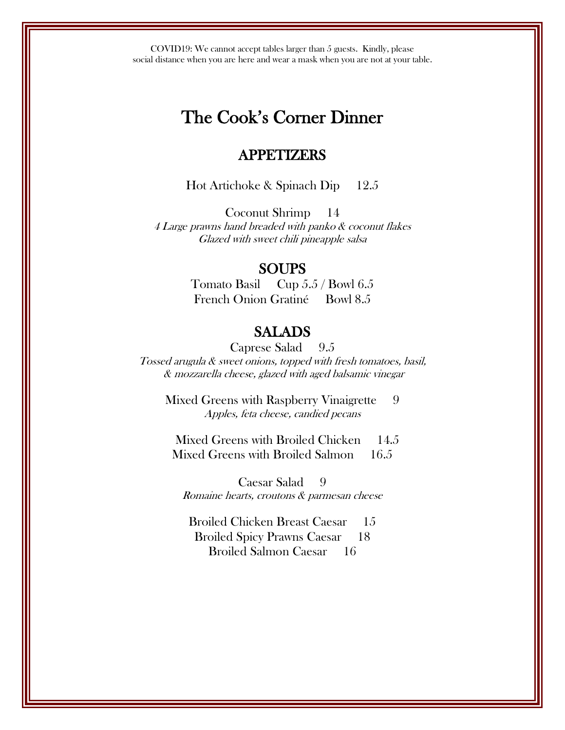COVID19: We cannot accept tables larger than 5 guests. Kindly, please social distance when you are here and wear a mask when you are not at your table.

# The Cook's Corner Dinner

## APPETIZERS

Hot Artichoke & Spinach Dip 12.5

Coconut Shrimp 14 4 Large prawns hand breaded with panko & coconut flakes Glazed with sweet chili pineapple salsa

#### SOUPS

Tomato Basil Cup 5.5 / Bowl 6.5 French Onion Gratiné Bowl 8.5

## SALADS

Caprese Salad 9.5 Tossed arugula & sweet onions, topped with fresh tomatoes, basil, & mozzarella cheese, glazed with aged balsamic vinegar

Mixed Greens with Raspberry Vinaigrette 9 Apples, feta cheese, candied pecans

Mixed Greens with Broiled Chicken 14.5 Mixed Greens with Broiled Salmon 16.5

Caesar Salad 9 Romaine hearts, croutons & parmesan cheese

Broiled Chicken Breast Caesar 15 Broiled Spicy Prawns Caesar 18 Broiled Salmon Caesar 16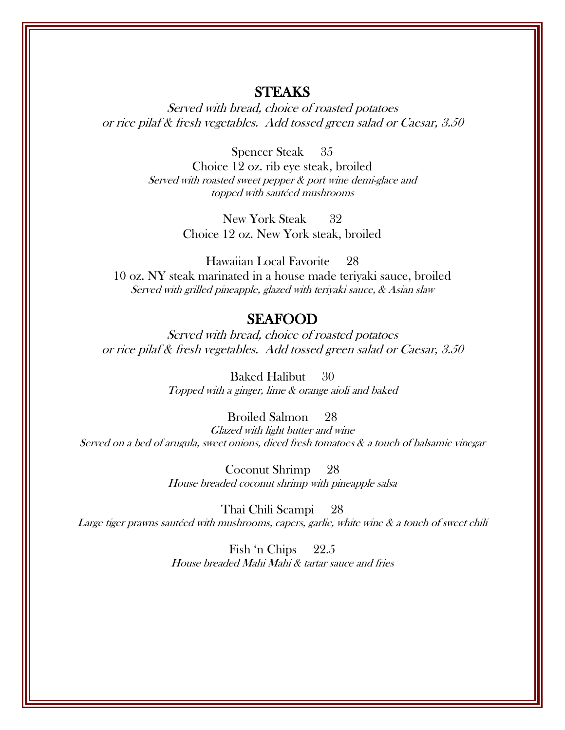#### STEAKS

Served with bread, choice of roasted potatoes or rice pilaf & fresh vegetables. Add tossed green salad or Caesar, 3.50

Spencer Steak 35

Choice 12 oz. rib eye steak, broiled Served with roasted sweet pepper & port wine demi-glace and topped with sautéed mushrooms

> New York Steak 32 Choice 12 oz. New York steak, broiled

Hawaiian Local Favorite 28 10 oz. NY steak marinated in a house made teriyaki sauce, broiled Served with grilled pineapple, glazed with teriyaki sauce, & Asian slaw

## SEAFOOD

Served with bread, choice of roasted potatoes or rice pilaf & fresh vegetables. Add tossed green salad or Caesar, 3.50

> Baked Halibut 30 Topped with a ginger, lime & orange aioli and baked

> > Broiled Salmon 28

Glazed with light butter and wine Served on a bed of arugula, sweet onions, diced fresh tomatoes & a touch of balsamic vinegar

> Coconut Shrimp 28 House breaded coconut shrimp with pineapple salsa

Thai Chili Scampi 28 Large tiger prawns sautéed with mushrooms, capers, garlic, white wine & a touch of sweet chili

> Fish 'n Chips 22.5 House breaded Mahi Mahi & tartar sauce and fries